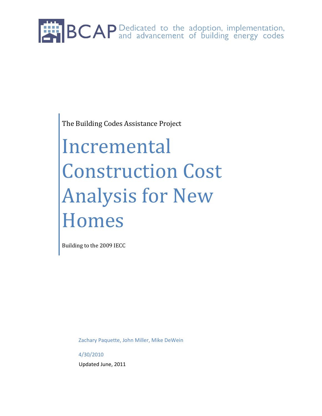

The Building Codes Assistance Project

# Incremental Construction Cost Analysis for New Homes

Building to the 2009 IECC

Zachary Paquette, John Miller, Mike DeWein

4/30/2010 Updated June, 2011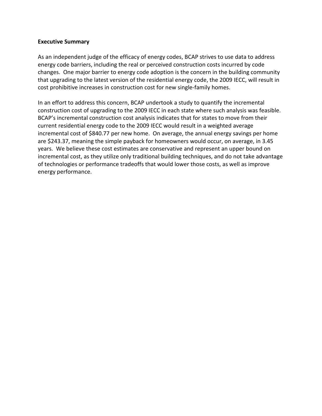#### **Executive Summary**

As an independent judge of the efficacy of energy codes, BCAP strives to use data to address energy code barriers, including the real or perceived construction costs incurred by code changes. One major barrier to energy code adoption is the concern in the building community that upgrading to the latest version of the residential energy code, the 2009 IECC, will result in cost prohibitive increases in construction cost for new single-family homes.

In an effort to address this concern, BCAP undertook a study to quantify the incremental construction cost of upgrading to the 2009 IECC in each state where such analysis was feasible. BCAP's incremental construction cost analysis indicates that for states to move from their current residential energy code to the 2009 IECC would result in a weighted average incremental cost of \$840.77 per new home. On average, the annual energy savings per home are \$243.37, meaning the simple payback for homeowners would occur, on average, in 3.45 years. We believe these cost estimates are conservative and represent an upper bound on incremental cost, as they utilize only traditional building techniques, and do not take advantage of technologies or performance tradeoffs that would lower those costs, as well as improve energy performance.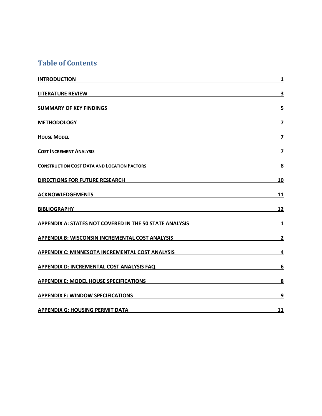### **Table of Contents**

| <b>INTRODUCTION</b>                                            | 1                       |
|----------------------------------------------------------------|-------------------------|
| <b>LITERATURE REVIEW</b>                                       | 3                       |
| <b>SUMMARY OF KEY FINDINGS</b>                                 | 5                       |
| <b>METHODOLOGY</b>                                             | 7                       |
| <b>HOUSE MODEL</b>                                             | $\overline{\mathbf{z}}$ |
| <b>COST INCREMENT ANALYSIS</b>                                 | $\overline{\mathbf{z}}$ |
| <b>CONSTRUCTION COST DATA AND LOCATION FACTORS</b>             | 8                       |
| <b>DIRECTIONS FOR FUTURE RESEARCH</b>                          | 10                      |
| <b>ACKNOWLEDGEMENTS</b>                                        | 11                      |
| <b>BIBLIOGRAPHY</b>                                            | 12                      |
| <b>APPENDIX A: STATES NOT COVERED IN THE 50 STATE ANALYSIS</b> | $\mathbf{1}$            |
| <b>APPENDIX B: WISCONSIN INCREMENTAL COST ANALYSIS</b>         | $\overline{2}$          |
| <b>APPENDIX C: MINNESOTA INCREMENTAL COST ANALYSIS</b>         | $\overline{4}$          |
| APPENDIX D: INCREMENTAL COST ANALYSIS FAQ                      | 6                       |
| <b>APPENDIX E: MODEL HOUSE SPECIFICATIONS</b>                  | $\overline{\mathbf{8}}$ |
| <b>APPENDIX F: WINDOW SPECIFICATIONS</b>                       | 9                       |
| <b>APPENDIX G: HOUSING PERMIT DATA</b>                         | 11                      |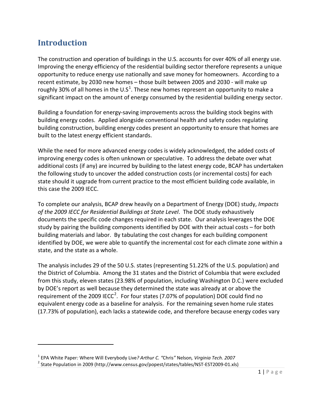### <span id="page-3-0"></span>**Introduction**

 $\overline{\phantom{0}}$ 

The construction and operation of buildings in the U.S. accounts for over 40% of all energy use. Improving the energy efficiency of the residential building sector therefore represents a unique opportunity to reduce energy use nationally and save money for homeowners. According to a recent estimate, by 2030 new homes – those built between 2005 and 2030 - will make up roughly 30% of all homes in the U.S<sup>[1](#page-3-1)</sup>. These new homes represent an opportunity to make a significant impact on the amount of energy consumed by the residential building energy sector.

Building a foundation for energy-saving improvements across the building stock begins with building energy codes. Applied alongside conventional health and safety codes regulating building construction, building energy codes present an opportunity to ensure that homes are built to the latest energy efficient standards.

While the need for more advanced energy codes is widely acknowledged, the added costs of improving energy codes is often unknown or speculative. To address the debate over what additional costs (if any) are incurred by building to the latest energy code, BCAP has undertaken the following study to uncover the added construction costs (or incremental costs) for each state should it upgrade from current practice to the most efficient building code available, in this case the 2009 IECC.

To complete our analysis, BCAP drew heavily on a Department of Energy (DOE) study, *Impacts of the 2009 IECC for Residential Buildings at State Level*. The DOE study exhaustively documents the specific code changes required in each state. Our analysis leverages the DOE study by pairing the building components identified by DOE with their actual costs – for both building materials and labor. By tabulating the cost changes for each building component identified by DOE, we were able to quantify the incremental cost for each climate zone within a state, and the state as a whole.

The analysis includes 29 of the 50 U.S. states (representing 51.22% of the U.S. population) and the District of Columbia. Among the 31 states and the District of Columbia that were excluded from this study, eleven states (23.98% of population, including Washington D.C.) were excluded by DOE's report as well because they determined the state was already at or above the requirement of the [2](#page-3-2)009 IECC<sup>2</sup>. For four states (7.07% of population) DOE could find no equivalent energy code as a baseline for analysis. For the remaining seven home rule states (17.73% of population), each lacks a statewide code, and therefore because energy codes vary

<span id="page-3-1"></span><sup>1</sup> EPA White Paper*:* Where Will Everybody Live*? Arthur C. "*Chris*"* Nelson*, Virginia Tech. 2007*

<span id="page-3-2"></span><sup>&</sup>lt;sup>2</sup> State Population in 2009 (http://www.census.gov/popest/states/tables/NST-EST2009-01.xls)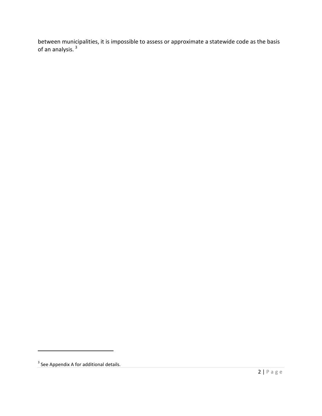between municipalities, it is impossible to assess or approximate a statewide code as the basis of an analysis.<sup>[3](#page-4-0)</sup>

 $\overline{\phantom{0}}$ 

<span id="page-4-0"></span><sup>&</sup>lt;sup>3</sup> See Appendix A for additional details.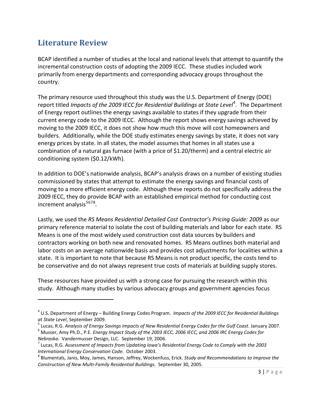### <span id="page-5-0"></span>**Literature Review**

ı

BCAP identified a number of studies at the local and national levels that attempt to quantify the incremental construction costs of adopting the 2009 IECC. These studies included work primarily from energy departments and corresponding advocacy groups throughout the country.

The primary resource used throughout this study was the U.S. Department of Energy (DOE) report titled *Impacts of the 2009 IECC for Residential Buildings at State Level<sup>[4](#page-5-1)</sup>. The Department* of Energy report outlines the energy savings available to states if they upgrade from their current energy code to the 2009 IECC. Although the report shows energy savings achieved by moving to the 2009 IECC, it does not show how much this move will cost homeowners and builders. Additionally, while the DOE study estimates energy savings by state, it does not vary energy prices by state. In all states, the model assumes that homes in all states use a combination of a natural gas furnace (with a price of \$1.20/therm) and a central electric air conditioning system (\$0.12/kWh).

In addition to DOE's nationwide analysis, BCAP's analysis draws on a number of existing studies commissioned by states that attempt to estimate the energy savings and financial costs of moving to a more efficient energy code. Although these reports do not specifically address the 2009 IECC, they do provide BCAP with an established empirical method for conducting cost increment analysis<sup>[5](#page-5-2)[6](#page-5-3)[7](#page-5-4)[8](#page-5-5)</sup>.

Lastly, we used the *RS Means Residential Detailed Cost Contractor's Pricing Guide: 2009* as our primary reference material to isolate the cost of building materials and labor for each state. RS Means is one of the most widely used construction cost data sources by builders and contractors working on both new and renovated homes. RS Means outlines both material and labor costs on an average nationwide basis and provides cost adjustments for localities within a state. It is important to note that because RS Means is not product specific, the costs tend to be conservative and do not always represent true costs of materials at building supply stores.

These resources have provided us with a strong case for pursuing the research within this study. Although many studies by various advocacy groups and government agencies focus

<span id="page-5-1"></span><sup>4</sup> U.S. Department of Energy – Building Energy Codes Program. *Impacts of the 2009 IECC for Residential Buildings at State Level*, September 2009.

<span id="page-5-2"></span><sup>5</sup> Lucas, R.G. *Analysis of Energy Savings Impacts of New Residential Energy Codes for the Gulf Coast.* January 2007.

<span id="page-5-3"></span><sup>6</sup> Musser, Amy Ph.D., P.E. *Energy Impact Study of the 2003 IECC, 2006 IECC, and 2006 IRC Energy Codes for Nebraska.* Vandermusser Design, LLC. September 19, 2006.

<span id="page-5-4"></span><sup>7</sup> Lucas, R.G. *Assessment of Impacts from Updating Iowa's Residential Energy Code to Comply with the 2003 International Energy Conservation Code.* October 2003.

<span id="page-5-5"></span><sup>8</sup> Blumentals, Janis, Moy, James, Hanson, Jeffrey, Wockenfuss, Erick. *Study and Recommendations to Improve the Construction of New Multi-Family Residential Buildings*. September 30, 2005.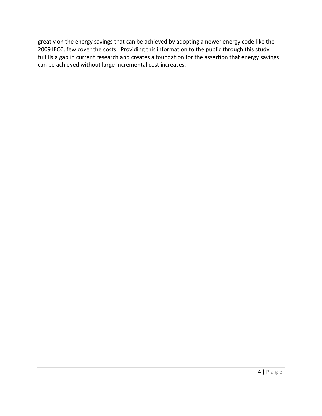greatly on the energy savings that can be achieved by adopting a newer energy code like the 2009 IECC, few cover the costs. Providing this information to the public through this study fulfills a gap in current research and creates a foundation for the assertion that energy savings can be achieved without large incremental cost increases.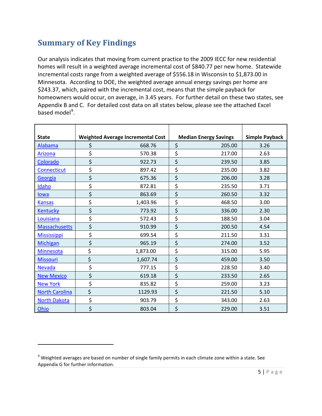### <span id="page-7-0"></span>**Summary of Key Findings**

 $\overline{\phantom{0}}$ 

Our analysis indicates that moving from current practice to the 2009 IECC for new residential homes will result in a weighted average incremental cost of \$840.77 per new home. Statewide incremental costs range from a weighted average of \$556.18 in Wisconsin to \$1,873.00 in Minnesota. According to DOE, the weighted average annual energy savings per home are \$243.37, which, paired with the incremental cost, means that the simple payback for homeowners would occur, on average, in 3.45 years. For further detail on these two states, see Appendix B and C. For detailed cost data on all states below, please see the attached Excel based model<sup>[9](#page-7-1)</sup>.

| <b>State</b>          | <b>Weighted Average Incremental Cost</b> | <b>Median Energy Savings</b> | <b>Simple Payback</b> |
|-----------------------|------------------------------------------|------------------------------|-----------------------|
| Alabama               | \$<br>668.76                             | \$<br>205.00                 | 3.26                  |
| Arizona               | \$<br>570.38                             | \$<br>217.00                 | 2.63                  |
| Colorado              | \$<br>922.73                             | \$<br>239.50                 | 3.85                  |
| Connecticut           | \$<br>897.42                             | \$<br>235.00                 | 3.82                  |
| Georgia               | \$<br>675.36                             | \$<br>206.00                 | 3.28                  |
| Idaho                 | \$<br>872.81                             | \$<br>235.50                 | 3.71                  |
| lowa                  | \$<br>863.69                             | \$<br>260.50                 | 3.32                  |
| <b>Kansas</b>         | \$<br>1,403.96                           | \$<br>468.50                 | 3.00                  |
| Kentucky              | \$<br>773.92                             | \$<br>336.00                 | 2.30                  |
| Louisiana             | \$<br>572.43                             | \$<br>188.50                 | 3.04                  |
| <b>Massachusetts</b>  | \$<br>910.99                             | \$<br>200.50                 | 4.54                  |
| <b>Mississippi</b>    | \$<br>699.54                             | \$<br>211.50                 | 3.31                  |
| <b>Michigan</b>       | \$<br>965.19                             | \$<br>274.00                 | 3.52                  |
| <b>Minnesota</b>      | \$<br>1,873.00                           | \$<br>315.00                 | 5.95                  |
| <b>Missouri</b>       | \$<br>1,607.74                           | \$<br>459.00                 | 3.50                  |
| <b>Nevada</b>         | \$<br>777.15                             | \$<br>228.50                 | 3.40                  |
| <b>New Mexico</b>     | \$<br>619.18                             | \$<br>233.50                 | 2.65                  |
| <b>New York</b>       | \$<br>835.82                             | \$<br>259.00                 | 3.23                  |
| <b>North Carolina</b> | \$<br>1129.93                            | \$<br>221.50                 | 5.10                  |
| <b>North Dakota</b>   | \$<br>903.79                             | \$<br>343.00                 | 2.63                  |
| Ohio                  | \$<br>803.04                             | \$<br>229.00                 | 3.51                  |

<span id="page-7-1"></span> $9$  Weighted averages are based on number of single family permits in each climate zone within a state. See Appendix G for further information.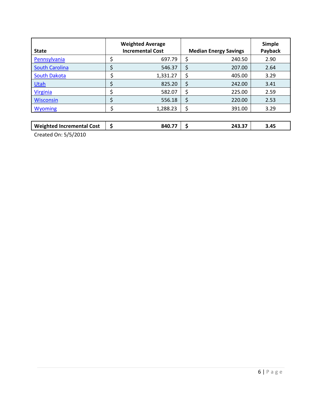| <b>State</b>          | <b>Weighted Average</b><br><b>Incremental Cost</b> | <b>Median Energy Savings</b> | <b>Simple</b><br>Payback |
|-----------------------|----------------------------------------------------|------------------------------|--------------------------|
| Pennsylvania          | 697.79                                             | 240.50                       | 2.90                     |
| <b>South Carolina</b> | 546.37                                             | 207.00                       | 2.64                     |
| <b>South Dakota</b>   | 1,331.27                                           | 405.00                       | 3.29                     |
| Utah                  | 825.20                                             | \$<br>242.00                 | 3.41                     |
| <b>Virginia</b>       | 582.07                                             | 225.00                       | 2.59                     |
| <b>Wisconsin</b>      | 556.18                                             | 220.00                       | 2.53                     |
| <b>Wyoming</b>        | 1,288.23                                           | 391.00                       | 3.29                     |
|                       |                                                    |                              |                          |

| <b>Weighted Incremental Cost</b>           | --<br><b>940.</b> | $-22 - 27$<br>л. | .45 |  |
|--------------------------------------------|-------------------|------------------|-----|--|
| $C_{\text{model}} \triangle A \triangle A$ |                   |                  |     |  |

Created On: 5/5/2010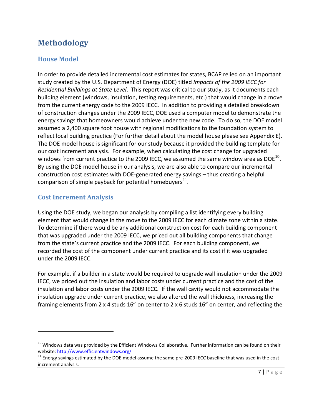## <span id="page-9-0"></span>**Methodology**

### <span id="page-9-1"></span>**House Model**

In order to provide detailed incremental cost estimates for states, BCAP relied on an important study created by the U.S. Department of Energy (DOE) titled *Impacts of the 2009 IECC for Residential Buildings at State Level*. This report was critical to our study, as it documents each building element (windows, insulation, testing requirements, etc.) that would change in a move from the current energy code to the 2009 IECC. In addition to providing a detailed breakdown of construction changes under the 2009 IECC, DOE used a computer model to demonstrate the energy savings that homeowners would achieve under the new code. To do so, the DOE model assumed a 2,400 square foot house with regional modifications to the foundation system to reflect local building practice (For further detail about the model house please see Appendix E). The DOE model house is significant for our study because it provided the building template for our cost increment analysis. For example, when calculating the cost change for upgraded windows from current practice to the 2009 IECC, we assumed the same window area as DOE $^{10}$ . By using the DOE model house in our analysis, we are also able to compare our incremental construction cost estimates with DOE-generated energy savings – thus creating a helpful comparison of simple payback for potential homebuyers $^{11}$  $^{11}$  $^{11}$ .

### <span id="page-9-2"></span>**Cost Increment Analysis**

l

Using the DOE study, we began our analysis by compiling a list identifying every building element that would change in the move to the 2009 IECC for each climate zone within a state. To determine if there would be any additional construction cost for each building component that was upgraded under the 2009 IECC, we priced out all building components that change from the state's current practice and the 2009 IECC. For each building component, we recorded the cost of the component under current practice and its cost if it was upgraded under the 2009 IECC.

For example, if a builder in a state would be required to upgrade wall insulation under the 2009 IECC, we priced out the insulation and labor costs under current practice and the cost of the insulation and labor costs under the 2009 IECC. If the wall cavity would not accommodate the insulation upgrade under current practice, we also altered the wall thickness, increasing the framing elements from 2 x 4 studs 16" on center to 2 x 6 studs 16" on center, and reflecting the

<span id="page-9-3"></span> $10$  Windows data was provided by the Efficient Windows Collaborative. Further information can be found on their website:<http://www.efficientwindows.org/>

<span id="page-9-4"></span><sup>&</sup>lt;sup>11</sup> Energy savings estimated by the DOE model assume the same pre-2009 IECC baseline that was used in the cost increment analysis.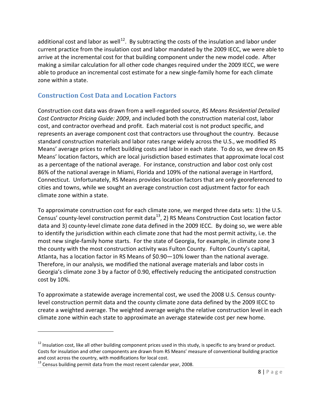additional cost and labor as well<sup>[12](#page-10-1)</sup>. By subtracting the costs of the insulation and labor under current practice from the insulation cost and labor mandated by the 2009 IECC, we were able to arrive at the incremental cost for that building component under the new model code. After making a similar calculation for all other code changes required under the 2009 IECC, we were able to produce an incremental cost estimate for a new single-family home for each climate zone within a state.

### <span id="page-10-0"></span>**Construction Cost Data and Location Factors**

Construction cost data was drawn from a well-regarded source, *RS Means Residential Detailed Cost Contractor Pricing Guide: 2009*, and included both the construction material cost, labor cost, and contractor overhead and profit. Each material cost is not product specific, and represents an average component cost that contractors use throughout the country. Because standard construction materials and labor rates range widely across the U.S., we modified RS Means' average prices to reflect building costs and labor in each state. To do so, we drew on RS Means' location factors, which are local jurisdiction based estimates that approximate local cost as a percentage of the national average. For instance, construction and labor cost only cost 86% of the national average in Miami, Florida and 109% of the national average in Hartford, Connecticut. Unfortunately, RS Means provides location factors that are only georeferenced to cities and towns, while we sought an average construction cost adjustment factor for each climate zone within a state.

To approximate construction cost for each climate zone, we merged three data sets: 1) the U.S. Census' county-level construction permit data $^{13}$  $^{13}$  $^{13}$ , 2) RS Means Construction Cost location factor data and 3) county-level climate zone data defined in the 2009 IECC. By doing so, we were able to identify the jurisdiction within each climate zone that had the most permit activity, i.e. the most new single-family home starts. For the state of Georgia, for example, in climate zone 3 the county with the most construction activity was Fulton County. Fulton County's capital, Atlanta, has a location factor in RS Means of \$0.90—10% lower than the national average. Therefore, in our analysis, we modified the national average materials and labor costs in Georgia's climate zone 3 by a factor of 0.90, effectively reducing the anticipated construction cost by 10%.

To approximate a statewide average incremental cost, we used the 2008 U.S. Census countylevel construction permit data and the county climate zone data defined by the 2009 IECC to create a weighted average. The weighted average weighs the relative construction level in each climate zone within each state to approximate an average statewide cost per new home.

l

<span id="page-10-1"></span> $12$  Insulation cost, like all other building component prices used in this study, is specific to any brand or product. Costs for insulation and other components are drawn from RS Means' measure of conventional building practice and cost across the country, with modifications for local cost.

<span id="page-10-2"></span> $13$  Census building permit data from the most recent calendar year, 2008.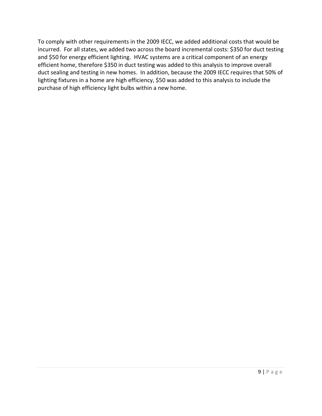To comply with other requirements in the 2009 IECC, we added additional costs that would be incurred. For all states, we added two across the board incremental costs: \$350 for duct testing and \$50 for energy efficient lighting. HVAC systems are a critical component of an energy efficient home, therefore \$350 in duct testing was added to this analysis to improve overall duct sealing and testing in new homes. In addition, because the 2009 IECC requires that 50% of lighting fixtures in a home are high efficiency, \$50 was added to this analysis to include the purchase of high efficiency light bulbs within a new home.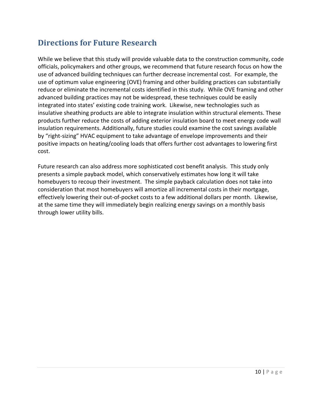### <span id="page-12-0"></span>**Directions for Future Research**

While we believe that this study will provide valuable data to the construction community, code officials, policymakers and other groups, we recommend that future research focus on how the use of advanced building techniques can further decrease incremental cost. For example, the use of optimum value engineering (OVE) framing and other building practices can substantially reduce or eliminate the incremental costs identified in this study. While OVE framing and other advanced building practices may not be widespread, these techniques could be easily integrated into states' existing code training work. Likewise, new technologies such as insulative sheathing products are able to integrate insulation within structural elements. These products further reduce the costs of adding exterior insulation board to meet energy code wall insulation requirements. Additionally, future studies could examine the cost savings available by "right-sizing" HVAC equipment to take advantage of envelope improvements and their positive impacts on heating/cooling loads that offers further cost advantages to lowering first cost.

Future research can also address more sophisticated cost benefit analysis. This study only presents a simple payback model, which conservatively estimates how long it will take homebuyers to recoup their investment. The simple payback calculation does not take into consideration that most homebuyers will amortize all incremental costs in their mortgage, effectively lowering their out-of-pocket costs to a few additional dollars per month. Likewise, at the same time they will immediately begin realizing energy savings on a monthly basis through lower utility bills.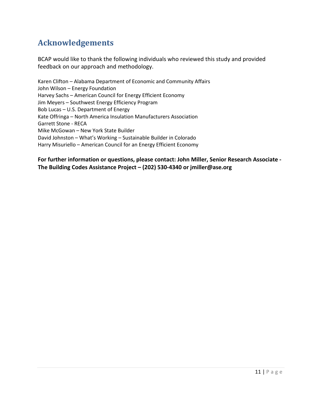### <span id="page-13-0"></span>**Acknowledgements**

BCAP would like to thank the following individuals who reviewed this study and provided feedback on our approach and methodology.

Karen Clifton – Alabama Department of Economic and Community Affairs John Wilson – Energy Foundation Harvey Sachs – American Council for Energy Efficient Economy Jim Meyers – Southwest Energy Efficiency Program Bob Lucas – U.S. Department of Energy Kate Offringa – North America Insulation Manufacturers Association Garrett Stone - RECA Mike McGowan – New York State Builder David Johnston – What's Working – Sustainable Builder in Colorado Harry Misuriello – American Council for an Energy Efficient Economy

**For further information or questions, please contact: John Miller, Senior Research Associate - The Building Codes Assistance Project – (202) 530-4340 or jmiller@ase.org**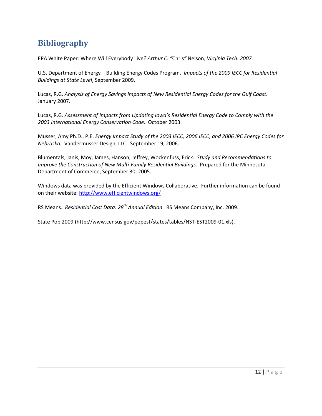## <span id="page-14-0"></span>**Bibliography**

EPA White Paper*:* Where Will Everybody Live*? Arthur C. "*Chris*"* Nelson*, Virginia Tech. 2007.*

U.S. Department of Energy – Building Energy Codes Program. *Impacts of the 2009 IECC for Residential Buildings at State Level*, September 2009.

Lucas, R.G. *Analysis of Energy Savings Impacts of New Residential Energy Codes for the Gulf Coast.* January 2007.

Lucas, R.G. *Assessment of Impacts from Updating Iowa's Residential Energy Code to Comply with the 2003 International Energy Conservation Code.* October 2003.

Musser, Amy Ph.D., P.E. *Energy Impact Study of the 2003 IECC, 2006 IECC, and 2006 IRC Energy Codes for Nebraska.* Vandermusser Design, LLC. September 19, 2006.

Blumentals, Janis, Moy, James, Hanson, Jeffrey, Wockenfuss, Erick. *Study and Recommendations to Improve the Construction of New Multi-Family Residential Buildings.* Prepared for the Minnesota Department of Commerce, September 30, 2005.

Windows data was provided by the Efficient Windows Collaborative. Further information can be found on their website:<http://www.efficientwindows.org/>

RS Means. *Residential Cost Data: 28th Annual Edition*. RS Means Company, Inc. 2009.

State Pop 2009 (http://www.census.gov/popest/states/tables/NST-EST2009-01.xls).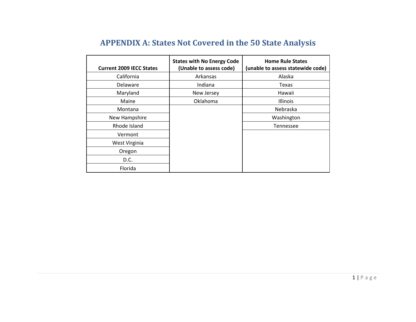<span id="page-15-0"></span>

| <b>Current 2009 IECC States</b> | <b>States with No Energy Code</b><br>(Unable to assess code) | <b>Home Rule States</b><br>(unable to assess statewide code) |
|---------------------------------|--------------------------------------------------------------|--------------------------------------------------------------|
| California                      | Arkansas                                                     | Alaska                                                       |
| Delaware                        | Indiana                                                      | Texas                                                        |
| Maryland                        | New Jersey                                                   | Hawaii                                                       |
| Maine                           | Oklahoma                                                     | Illinois                                                     |
| Montana                         |                                                              | Nebraska                                                     |
| New Hampshire                   |                                                              | Washington                                                   |
| Rhode Island                    |                                                              | <b>Tennessee</b>                                             |
| Vermont                         |                                                              |                                                              |
| West Virginia                   |                                                              |                                                              |
| Oregon                          |                                                              |                                                              |
| D.C.                            |                                                              |                                                              |
| Florida                         |                                                              |                                                              |

# **APPENDIX A: States Not Covered in the 50 State Analysis**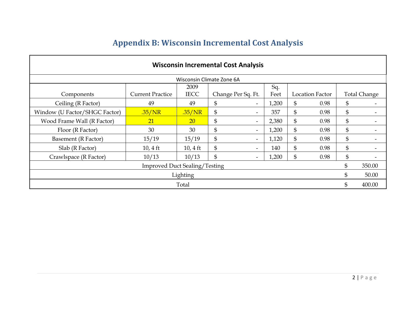<span id="page-16-0"></span>

| <b>Wisconsin Incremental Cost Analysis</b> |                         |                    |                    |                          |       |    |                 |    |                     |  |  |  |
|--------------------------------------------|-------------------------|--------------------|--------------------|--------------------------|-------|----|-----------------|----|---------------------|--|--|--|
| Wisconsin Climate Zone 6A                  |                         |                    |                    |                          |       |    |                 |    |                     |  |  |  |
| Sq.<br>2009                                |                         |                    |                    |                          |       |    |                 |    |                     |  |  |  |
| Components                                 | <b>Current Practice</b> | <b>IECC</b>        | Change Per Sq. Ft. |                          | Feet  |    | Location Factor |    | <b>Total Change</b> |  |  |  |
| Ceiling (R Factor)                         | 49                      | 49                 | \$                 | $\overline{\phantom{a}}$ | 1,200 | \$ | 0.98            | \$ |                     |  |  |  |
| Window (U Factor/SHGC Factor)              | .35/NR                  | .35/NR             | \$                 | $\overline{\phantom{0}}$ | 357   | \$ | 0.98            | \$ |                     |  |  |  |
| Wood Frame Wall (R Factor)                 | 21                      | <b>20</b>          | \$                 | $\overline{\phantom{0}}$ | 2,380 | \$ | 0.98            | \$ |                     |  |  |  |
| Floor (R Factor)                           | 30                      | 30                 | \$                 | $\overline{\phantom{0}}$ | 1,200 | \$ | 0.98            | \$ |                     |  |  |  |
| Basement (R Factor)                        | 15/19                   | 15/19              | \$                 | $\overline{\phantom{0}}$ | 1,120 | \$ | 0.98            | \$ |                     |  |  |  |
| Slab (R Factor)                            | $10, 4 \text{ ft}$      | $10, 4 \text{ ft}$ | \$                 | $\overline{\phantom{0}}$ | 140   | \$ | 0.98            | \$ |                     |  |  |  |
| Crawlspace (R Factor)                      | 10/13                   | 10/13              | \$                 | $\overline{\phantom{0}}$ | 1,200 | \$ | 0.98            | \$ |                     |  |  |  |
| <b>Improved Duct Sealing/Testing</b>       |                         |                    |                    |                          |       |    |                 |    |                     |  |  |  |
| Lighting                                   |                         |                    |                    |                          |       |    |                 |    |                     |  |  |  |
|                                            |                         | Total              |                    |                          |       |    |                 | \$ | 400.00              |  |  |  |

# **Appendix B: Wisconsin Incremental Cost Analysis**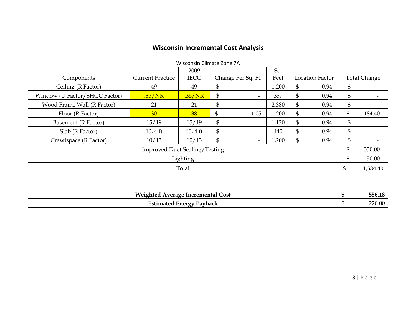| <b>Wisconsin Incremental Cost Analysis</b> |                                          |                    |    |                          |       |    |                        |    |                     |  |  |
|--------------------------------------------|------------------------------------------|--------------------|----|--------------------------|-------|----|------------------------|----|---------------------|--|--|
| Wisconsin Climate Zone 7A                  |                                          |                    |    |                          |       |    |                        |    |                     |  |  |
|                                            |                                          | 2009               |    |                          | Sq.   |    |                        |    |                     |  |  |
| Components                                 | <b>Current Practice</b>                  | <b>IECC</b>        |    | Change Per Sq. Ft.       | Feet  |    | <b>Location Factor</b> |    | <b>Total Change</b> |  |  |
| Ceiling (R Factor)                         | 49                                       | 49                 | \$ | $\overline{\phantom{0}}$ | 1,200 | \$ | 0.94                   | \$ |                     |  |  |
| Window (U Factor/SHGC Factor)              | .35/NR                                   | .35/NR             | \$ | $\overline{\phantom{a}}$ | 357   | \$ | 0.94                   | \$ |                     |  |  |
| Wood Frame Wall (R Factor)                 | 21                                       | 21                 | \$ | Ξ.                       | 2,380 | \$ | 0.94                   | \$ |                     |  |  |
| Floor (R Factor)                           | 30                                       | 38                 | \$ | 1.05                     | 1,200 | \$ | 0.94                   | \$ | 1,184.40            |  |  |
| Basement (R Factor)                        | 15/19                                    | 15/19              | \$ | $\overline{\phantom{a}}$ | 1,120 | \$ | 0.94                   | \$ |                     |  |  |
| Slab (R Factor)                            | $10, 4$ ft                               | $10, 4 \text{ ft}$ | \$ | $\overline{\phantom{0}}$ | 140   | \$ | 0.94                   | \$ |                     |  |  |
| Crawlspace (R Factor)                      | 10/13                                    | 10/13              | \$ | $\overline{\phantom{0}}$ | 1,200 | \$ | 0.94                   | \$ |                     |  |  |
|                                            | <b>Improved Duct Sealing/Testing</b>     |                    |    |                          |       |    |                        | \$ | 350.00              |  |  |
|                                            |                                          | Lighting           |    |                          |       |    |                        | \$ | 50.00               |  |  |
|                                            |                                          | Total              |    |                          |       |    |                        | \$ | 1,584.40            |  |  |
|                                            |                                          |                    |    |                          |       |    |                        |    |                     |  |  |
|                                            | <b>Weighted Average Incremental Cost</b> |                    |    |                          |       |    |                        | \$ | 556.18              |  |  |
|                                            | <b>Estimated Energy Payback</b>          |                    |    |                          |       |    |                        | \$ | 220.00              |  |  |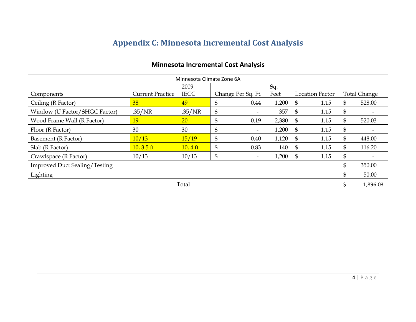<span id="page-18-0"></span>

| <b>Minnesota Incremental Cost Analysis</b> |                         |             |    |                          |       |                |                 |    |                     |  |  |  |
|--------------------------------------------|-------------------------|-------------|----|--------------------------|-------|----------------|-----------------|----|---------------------|--|--|--|
| Minnesota Climate Zone 6A                  |                         |             |    |                          |       |                |                 |    |                     |  |  |  |
| Sq.<br>2009                                |                         |             |    |                          |       |                |                 |    |                     |  |  |  |
| Components                                 | <b>Current Practice</b> | <b>IECC</b> |    | Change Per Sq. Ft.       | Feet  |                | Location Factor |    | <b>Total Change</b> |  |  |  |
| Ceiling (R Factor)                         | 38                      | 49          | \$ | 0.44                     | 1,200 | \$             | 1.15            | \$ | 528.00              |  |  |  |
| Window (U Factor/SHGC Factor)              | .35/NR                  | .35/NR      | \$ | $\overline{\phantom{0}}$ | 357   | \$             | 1.15            | \$ |                     |  |  |  |
| Wood Frame Wall (R Factor)                 | 19                      | 20          | \$ | 0.19                     | 2,380 | \$             | 1.15            | \$ | 520.03              |  |  |  |
| Floor (R Factor)                           | 30                      | 30          | \$ | $\overline{\phantom{0}}$ | 1,200 | \$             | 1.15            | \$ |                     |  |  |  |
| Basement (R Factor)                        | 10/13                   | 15/19       | \$ | 0.40                     | 1,120 | $\mathfrak{S}$ | 1.15            | \$ | 448.00              |  |  |  |
| Slab (R Factor)                            | $10, 3.5$ ft            | $10, 4$ ft  | \$ | 0.83                     | 140   | \$             | 1.15            | \$ | 116.20              |  |  |  |
| Crawlspace (R Factor)                      | 10/13                   | 10/13       | \$ | $\overline{\phantom{a}}$ | 1,200 | $\mathfrak{S}$ | 1.15            | \$ |                     |  |  |  |
| <b>Improved Duct Sealing/Testing</b>       |                         |             |    |                          |       |                |                 | \$ | 350.00              |  |  |  |
| Lighting                                   |                         |             |    |                          |       |                |                 | \$ | 50.00               |  |  |  |
|                                            |                         | Total       |    |                          |       |                |                 |    | 1,896.03            |  |  |  |

# **Appendix C: Minnesota Incremental Cost Analysis**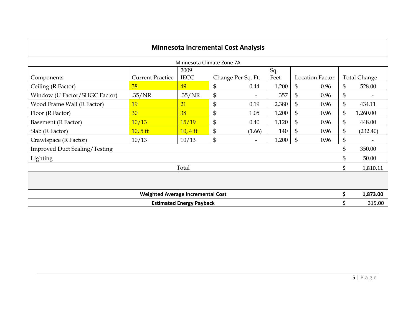| <b>Minnesota Incremental Cost Analysis</b> |                                          |                                 |                |                    |             |    |                        |                |                     |  |  |
|--------------------------------------------|------------------------------------------|---------------------------------|----------------|--------------------|-------------|----|------------------------|----------------|---------------------|--|--|
| Minnesota Climate Zone 7A                  |                                          |                                 |                |                    |             |    |                        |                |                     |  |  |
| Components                                 | <b>Current Practice</b>                  | 2009<br><b>IECC</b>             |                | Change Per Sq. Ft. | Sq.<br>Feet |    | <b>Location Factor</b> |                | <b>Total Change</b> |  |  |
| Ceiling (R Factor)                         | 38                                       | 49                              | \$             | 0.44               | 1,200       | \$ | 0.96                   | $\mathfrak{S}$ | 528.00              |  |  |
| Window (U Factor/SHGC Factor)              | .35/NR                                   | .35/NR                          | $\mathfrak{S}$ |                    | 357         | \$ | 0.96                   | \$             |                     |  |  |
| Wood Frame Wall (R Factor)                 | 19                                       | 21                              | $\mathfrak{S}$ | 0.19               | 2,380       | \$ | 0.96                   | $\mathfrak{S}$ | 434.11              |  |  |
| Floor (R Factor)                           | 30                                       | 38                              | \$             | 1.05               | 1,200       | \$ | 0.96                   | \$             | 1,260.00            |  |  |
| Basement (R Factor)                        | 10/13                                    | 15/19                           | \$             | 0.40               | 1,120       | \$ | 0.96                   | \$             | 448.00              |  |  |
| Slab (R Factor)                            | $10, 5$ ft                               | $10, 4$ ft                      | \$             | (1.66)             | 140         | \$ | 0.96                   | $\mathfrak{S}$ | (232.40)            |  |  |
| Crawlspace (R Factor)                      | 10/13                                    | 10/13                           | \$             |                    | 1,200       | \$ | 0.96                   | \$             |                     |  |  |
| <b>Improved Duct Sealing/Testing</b>       |                                          |                                 |                |                    |             |    |                        | \$             | 350.00              |  |  |
| Lighting                                   |                                          |                                 |                |                    |             |    |                        | \$             | 50.00               |  |  |
|                                            |                                          | Total                           |                |                    |             |    |                        | \$             | 1,810.11            |  |  |
|                                            |                                          |                                 |                |                    |             |    |                        |                |                     |  |  |
|                                            | <b>Weighted Average Incremental Cost</b> |                                 |                |                    |             |    |                        | \$             | 1,873.00            |  |  |
|                                            |                                          | <b>Estimated Energy Payback</b> |                |                    |             |    |                        |                | 315.00              |  |  |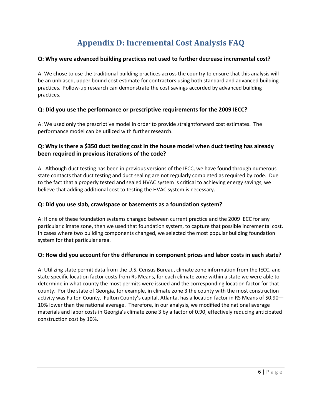# **Appendix D: Incremental Cost Analysis FAQ**

#### <span id="page-20-0"></span>**Q: Why were advanced building practices not used to further decrease incremental cost?**

A: We chose to use the traditional building practices across the country to ensure that this analysis will be an unbiased, upper bound cost estimate for contractors using both standard and advanced building practices. Follow-up research can demonstrate the cost savings accorded by advanced building practices.

#### **Q: Did you use the performance or prescriptive requirements for the 2009 IECC?**

A: We used only the prescriptive model in order to provide straightforward cost estimates. The performance model can be utilized with further research.

### **Q: Why is there a \$350 duct testing cost in the house model when duct testing has already been required in previous iterations of the code?**

A: Although duct testing has been in previous versions of the IECC, we have found through numerous state contacts that duct testing and duct sealing are not regularly completed as required by code. Due to the fact that a properly tested and sealed HVAC system is critical to achieving energy savings, we believe that adding additional cost to testing the HVAC system is necessary.

#### **Q: Did you use slab, crawlspace or basements as a foundation system?**

A: If one of these foundation systems changed between current practice and the 2009 IECC for any particular climate zone, then we used that foundation system, to capture that possible incremental cost. In cases where two building components changed, we selected the most popular building foundation system for that particular area.

#### **Q: How did you account for the difference in component prices and labor costs in each state?**

A: Utilizing state permit data from the U.S. Census Bureau, climate zone information from the IECC, and state specific location factor costs from Rs Means, for each climate zone within a state we were able to determine in what county the most permits were issued and the corresponding location factor for that county. For the state of Georgia, for example, in climate zone 3 the county with the most construction activity was Fulton County. Fulton County's capital, Atlanta, has a location factor in RS Means of \$0.90— 10% lower than the national average. Therefore, in our analysis, we modified the national average materials and labor costs in Georgia's climate zone 3 by a factor of 0.90, effectively reducing anticipated construction cost by 10%.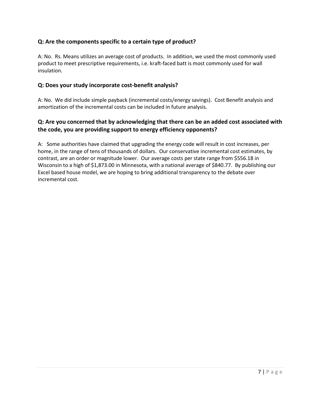### **Q: Are the components specific to a certain type of product?**

A: No. Rs. Means utilizes an average cost of products. In addition, we used the most commonly used product to meet prescriptive requirements, i.e. kraft-faced batt is most commonly used for wall insulation.

#### **Q: Does your study incorporate cost-benefit analysis?**

A: No. We did include simple payback (incremental costs/energy savings). Cost Benefit analysis and amortization of the incremental costs can be included in future analysis.

### **Q: Are you concerned that by acknowledging that there can be an added cost associated with the code, you are providing support to energy efficiency opponents?**

A: Some authorities have claimed that upgrading the energy code will result in cost increases, per home, in the range of tens of thousands of dollars. Our conservative incremental cost estimates, by contrast, are an order or magnitude lower. Our average costs per state range from \$556.18 in Wisconsin to a high of \$1,873.00 in Minnesota, with a national average of \$840.77. By publishing our Excel based house model, we are hoping to bring additional transparency to the debate over incremental cost.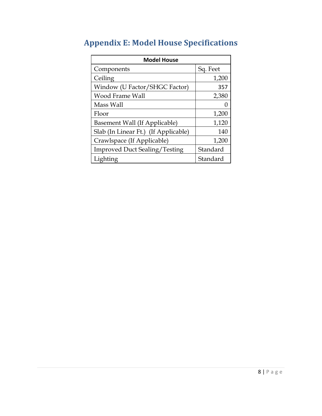| <b>Model House</b>                   |          |  |  |  |  |  |  |  |
|--------------------------------------|----------|--|--|--|--|--|--|--|
| Components                           | Sq. Feet |  |  |  |  |  |  |  |
| Ceiling                              | 1,200    |  |  |  |  |  |  |  |
| Window (U Factor/SHGC Factor)        | 357      |  |  |  |  |  |  |  |
| Wood Frame Wall                      | 2,380    |  |  |  |  |  |  |  |
| Mass Wall                            |          |  |  |  |  |  |  |  |
| Floor                                | 1,200    |  |  |  |  |  |  |  |
| Basement Wall (If Applicable)        | 1,120    |  |  |  |  |  |  |  |
| Slab (In Linear Ft.) (If Applicable) | 140      |  |  |  |  |  |  |  |
| Crawlspace (If Applicable)           | 1,200    |  |  |  |  |  |  |  |
| <b>Improved Duct Sealing/Testing</b> | Standard |  |  |  |  |  |  |  |
| Lighting                             | Standard |  |  |  |  |  |  |  |

# <span id="page-22-0"></span>**Appendix E: Model House Specifications**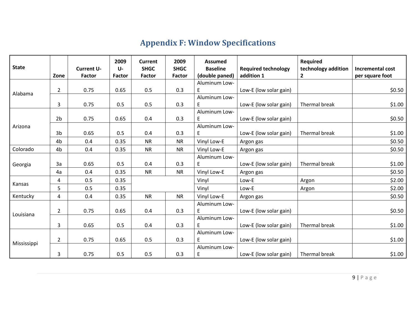# **Appendix F: Window Specifications**

<span id="page-23-0"></span>

| <b>State</b> | Zone           | <b>Current U-</b><br><b>Factor</b> | 2009<br>$U -$<br><b>Factor</b> | <b>Current</b><br><b>SHGC</b><br><b>Factor</b> | 2009<br><b>SHGC</b><br><b>Factor</b> | <b>Assumed</b><br><b>Baseline</b><br>(double paned) | <b>Required technology</b><br>addition 1 | <b>Required</b><br>technology addition<br>$\mathbf{2}$ | Incremental cost<br>per square foot |
|--------------|----------------|------------------------------------|--------------------------------|------------------------------------------------|--------------------------------------|-----------------------------------------------------|------------------------------------------|--------------------------------------------------------|-------------------------------------|
|              |                |                                    |                                |                                                |                                      | Aluminum Low-                                       |                                          |                                                        |                                     |
| Alabama      | $\overline{2}$ | 0.75                               | 0.65                           | 0.5                                            | 0.3                                  | E                                                   | Low-E (low solar gain)                   |                                                        | \$0.50                              |
|              | 3              | 0.75                               | 0.5                            | 0.5                                            | 0.3                                  | Aluminum Low-<br>E                                  | Low-E (low solar gain)                   | Thermal break                                          | \$1.00                              |
|              |                |                                    |                                |                                                |                                      | Aluminum Low-                                       |                                          |                                                        |                                     |
|              | 2 <sub>b</sub> | 0.75                               | 0.65                           | 0.4                                            | 0.3                                  | E                                                   | Low-E (low solar gain)                   |                                                        | \$0.50                              |
| Arizona      |                |                                    |                                |                                                |                                      | Aluminum Low-                                       |                                          |                                                        |                                     |
|              | 3b             | 0.65                               | 0.5                            | 0.4                                            | 0.3                                  | E                                                   | Low-E (low solar gain)                   | Thermal break                                          | \$1.00                              |
|              | 4 <sub>b</sub> | 0.4                                | 0.35                           | <b>NR</b>                                      | <b>NR</b>                            | Vinyl Low-E                                         | Argon gas                                |                                                        | \$0.50                              |
| Colorado     | 4b             | 0.4                                | 0.35                           | <b>NR</b>                                      | <b>NR</b>                            | Vinyl Low-E                                         | Argon gas                                |                                                        | \$0.50                              |
|              |                |                                    |                                |                                                |                                      | Aluminum Low-                                       |                                          |                                                        |                                     |
| Georgia      | 3a             | 0.65                               | 0.5                            | 0.4                                            | 0.3                                  | E                                                   | Low-E (low solar gain)                   | Thermal break                                          | \$1.00                              |
|              | 4a             | 0.4                                | 0.35                           | <b>NR</b>                                      | <b>NR</b>                            | Vinyl Low-E                                         | Argon gas                                |                                                        | \$0.50                              |
|              | 4              | 0.5                                | 0.35                           |                                                |                                      | Vinyl                                               | Low-E                                    | Argon                                                  | \$2.00                              |
| Kansas       | 5              | 0.5                                | 0.35                           |                                                |                                      | Vinyl                                               | Low-E                                    | Argon                                                  | \$2.00                              |
| Kentucky     | 4              | 0.4                                | 0.35                           | <b>NR</b>                                      | <b>NR</b>                            | Vinyl Low-E                                         | Argon gas                                |                                                        | \$0.50                              |
|              |                |                                    |                                |                                                |                                      | Aluminum Low-                                       |                                          |                                                        |                                     |
| Louisiana    | $\overline{2}$ | 0.75                               | 0.65                           | 0.4                                            | 0.3                                  | E                                                   | Low-E (low solar gain)                   |                                                        | \$0.50                              |
|              |                |                                    |                                |                                                |                                      | Aluminum Low-                                       |                                          |                                                        |                                     |
|              | 3              | 0.65                               | 0.5                            | 0.4                                            | 0.3                                  | E                                                   | Low-E (low solar gain)                   | Thermal break                                          | \$1.00                              |
|              |                |                                    |                                |                                                |                                      | Aluminum Low-                                       |                                          |                                                        |                                     |
| Mississippi  | $\overline{2}$ | 0.75                               | 0.65                           | 0.5                                            | 0.3                                  | E                                                   | Low-E (low solar gain)                   |                                                        | \$1.00                              |
|              |                |                                    |                                |                                                |                                      | Aluminum Low-                                       |                                          |                                                        |                                     |
|              | 3              | 0.75                               | 0.5                            | 0.5                                            | 0.3                                  | $\sf E$                                             | Low-E (low solar gain)                   | Thermal break                                          | \$1.00                              |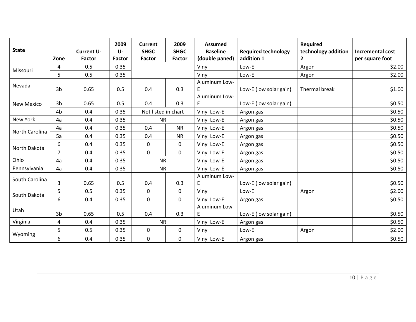| <b>State</b>      | Zone           | <b>Current U-</b><br><b>Factor</b> | 2009<br>$U -$<br>Factor | <b>Current</b><br><b>SHGC</b><br><b>Factor</b> | 2009<br><b>SHGC</b><br><b>Factor</b> | <b>Assumed</b><br><b>Baseline</b><br>(double paned) | <b>Required technology</b><br>addition 1 | <b>Required</b><br>technology addition<br>2 | Incremental cost<br>per square foot |
|-------------------|----------------|------------------------------------|-------------------------|------------------------------------------------|--------------------------------------|-----------------------------------------------------|------------------------------------------|---------------------------------------------|-------------------------------------|
| Missouri          | 4              | 0.5                                | 0.35                    |                                                |                                      | Vinyl                                               | Low-E                                    | Argon                                       | \$2.00                              |
|                   | 5              | 0.5                                | 0.35                    |                                                |                                      | Vinyl                                               | Low-E                                    | Argon                                       | \$2.00                              |
| Nevada            | 3b             | 0.65                               | 0.5                     | 0.4                                            | 0.3                                  | Aluminum Low-<br>E                                  | Low-E (low solar gain)                   | Thermal break                               | \$1.00                              |
| <b>New Mexico</b> | 3b<br>4b       | 0.65<br>0.4                        | 0.5<br>0.35             | 0.4<br>Not listed in chart                     | 0.3                                  | Aluminum Low-<br>E<br>Vinyl Low-E                   | Low-E (low solar gain)<br>Argon gas      |                                             | \$0.50<br>\$0.50                    |
| New York          | 4a             | 0.4                                | 0.35                    | <b>NR</b>                                      |                                      | Vinyl Low-E                                         | Argon gas                                |                                             | \$0.50                              |
|                   | 4a             | 0.4                                | 0.35                    | 0.4                                            | <b>NR</b>                            | Vinyl Low-E                                         | Argon gas                                |                                             | \$0.50                              |
| North Carolina    | 5a             | 0.4                                | 0.35                    | 0.4                                            | <b>NR</b>                            | Vinyl Low-E                                         | Argon gas                                |                                             | \$0.50                              |
|                   | 6              | 0.4                                | 0.35                    | 0                                              | 0                                    | Vinyl Low-E                                         | Argon gas                                |                                             | \$0.50                              |
| North Dakota      | $\overline{7}$ | 0.4                                | 0.35                    | 0                                              | $\mathbf 0$                          | Vinyl Low-E                                         | Argon gas                                |                                             | \$0.50                              |
| Ohio              | 4a             | 0.4                                | 0.35                    | <b>NR</b>                                      |                                      | Vinyl Low-E                                         | Argon gas                                |                                             | \$0.50                              |
| Pennsylvania      | 4a             | 0.4                                | 0.35                    | <b>NR</b>                                      |                                      | Vinyl Low-E                                         | Argon gas                                |                                             | \$0.50                              |
| South Carolina    | $\overline{3}$ | 0.65                               | 0.5                     | 0.4                                            | 0.3                                  | Aluminum Low-<br>E                                  | Low-E (low solar gain)                   |                                             | \$0.50                              |
| South Dakota      | 5              | 0.5                                | 0.35                    | 0                                              | 0                                    | Vinyl                                               | Low-E                                    | Argon                                       | \$2.00                              |
|                   | 6              | 0.4                                | 0.35                    | 0                                              | 0                                    | Vinyl Low-E                                         | Argon gas                                |                                             | \$0.50                              |
| Utah              | 3 <sub>b</sub> | 0.65                               | 0.5                     | 0.4                                            | 0.3                                  | Aluminum Low-<br>E                                  | Low-E (low solar gain)                   |                                             | \$0.50                              |
| Virginia          | 4              | 0.4                                | 0.35                    | <b>NR</b>                                      |                                      | Vinyl Low-E                                         | Argon gas                                |                                             | \$0.50                              |
|                   | 5              | 0.5                                | 0.35                    | 0                                              | 0                                    | Vinyl                                               | Low-E                                    | Argon                                       | \$2.00                              |
| Wyoming           | 6              | 0.4                                | 0.35                    | 0                                              | 0                                    | Vinyl Low-E                                         | Argon gas                                |                                             | \$0.50                              |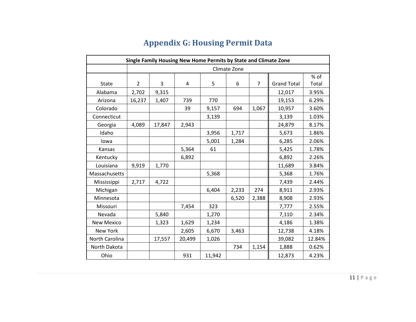<span id="page-25-0"></span>

| Single Family Housing New Home Permits by State and Climate Zone |                |        |        |        |       |                |                    |        |  |  |  |
|------------------------------------------------------------------|----------------|--------|--------|--------|-------|----------------|--------------------|--------|--|--|--|
|                                                                  | Climate Zone   |        |        |        |       |                |                    |        |  |  |  |
|                                                                  |                |        |        |        |       |                |                    | % of   |  |  |  |
| <b>State</b>                                                     | $\overline{2}$ | 3      | 4      | 5      | 6     | $\overline{7}$ | <b>Grand Total</b> | Total  |  |  |  |
| Alabama                                                          | 2,702          | 9,315  |        |        |       |                | 12,017             | 3.95%  |  |  |  |
| Arizona                                                          | 16,237         | 1,407  | 739    | 770    |       |                | 19,153             | 6.29%  |  |  |  |
| Colorado                                                         |                |        | 39     | 9,157  | 694   | 1,067          | 10,957             | 3.60%  |  |  |  |
| Connecticut                                                      |                |        |        | 3,139  |       |                | 3,139              | 1.03%  |  |  |  |
| Georgia                                                          | 4,089          | 17,847 | 2,943  |        |       |                | 24,879             | 8.17%  |  |  |  |
| Idaho                                                            |                |        |        | 3,956  | 1,717 |                | 5,673              | 1.86%  |  |  |  |
| lowa                                                             |                |        |        | 5,001  | 1,284 |                | 6,285              | 2.06%  |  |  |  |
| Kansas                                                           |                |        | 5,364  | 61     |       |                | 5,425              | 1.78%  |  |  |  |
| Kentucky                                                         |                |        | 6,892  |        |       |                | 6,892              | 2.26%  |  |  |  |
| Louisiana                                                        | 9,919          | 1,770  |        |        |       |                | 11,689             | 3.84%  |  |  |  |
| Massachusetts                                                    |                |        |        | 5,368  |       |                | 5,368              | 1.76%  |  |  |  |
| Mississippi                                                      | 2,717          | 4,722  |        |        |       |                | 7,439              | 2.44%  |  |  |  |
| Michigan                                                         |                |        |        | 6,404  | 2,233 | 274            | 8,911              | 2.93%  |  |  |  |
| Minnesota                                                        |                |        |        |        | 6,520 | 2,388          | 8,908              | 2.93%  |  |  |  |
| Missouri                                                         |                |        | 7,454  | 323    |       |                | 7,777              | 2.55%  |  |  |  |
| Nevada                                                           |                | 5,840  |        | 1,270  |       |                | 7,110              | 2.34%  |  |  |  |
| New Mexico                                                       |                | 1,323  | 1,629  | 1,234  |       |                | 4,186              | 1.38%  |  |  |  |
| New York                                                         |                |        | 2,605  | 6,670  | 3,463 |                | 12,738             | 4.18%  |  |  |  |
| North Carolina                                                   |                | 17,557 | 20,499 | 1,026  |       |                | 39,082             | 12.84% |  |  |  |
| North Dakota                                                     |                |        |        |        | 734   | 1,154          | 1,888              | 0.62%  |  |  |  |
| Ohio                                                             |                |        | 931    | 11,942 |       |                | 12,873             | 4.23%  |  |  |  |

# **Appendix G: Housing Permit Data**